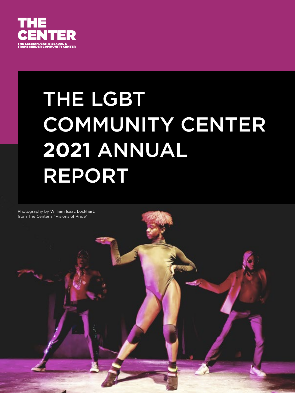

# THE LGBT COMMUNITY CENTER **2021** ANNUAL REPORT

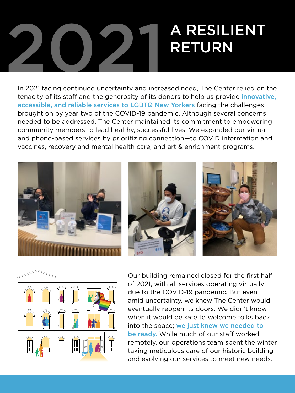# 2021 A RESILIENT RETURN

In 2021 facing continued uncertainty and increased need, The Center relied on the tenacity of its staff and the generosity of its donors to help us provide innovative, accessible, and reliable services to LGBTQ New Yorkers facing the challenges brought on by year two of the COVID-19 pandemic. Although several concerns needed to be addressed, The Center maintained its commitment to empowering community members to lead healthy, successful lives. We expanded our virtual and phone-based services by prioritizing connection—to COVID information and vaccines, recovery and mental health care, and art & enrichment programs.





Our building remained closed for the first half of 2021, with all services operating virtually due to the COVID-19 pandemic. But even amid uncertainty, we knew The Center would eventually reopen its doors. We didn't know when it would be safe to welcome folks back into the space; we just knew we needed to be ready. While much of our staff worked remotely, our operations team spent the winter taking meticulous care of our historic building and evolving our services to meet new needs.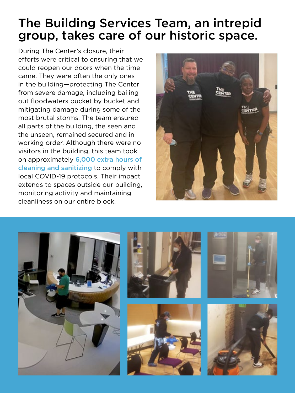### The Building Services Team, an intrepid group, takes care of our historic space.

During The Center's closure, their efforts were critical to ensuring that we could reopen our doors when the time came. They were often the only ones in the building—protecting The Center from severe damage, including bailing out floodwaters bucket by bucket and mitigating damage during some of the most brutal storms. The team ensured all parts of the building, the seen and the unseen, remained secured and in working order. Although there were no visitors in the building, this team took on approximately 6,000 extra hours of cleaning and sanitizing to comply with local COVID-19 protocols. Their impact extends to spaces outside our building, monitoring activity and maintaining cleanliness on our entire block.



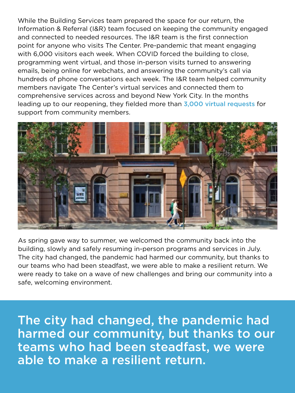While the Building Services team prepared the space for our return, the Information & Referral (I&R) team focused on keeping the community engaged and connected to needed resources. The I&R team is the first connection point for anyone who visits The Center. Pre-pandemic that meant engaging with 6,000 visitors each week. When COVID forced the building to close, programming went virtual, and those in-person visits turned to answering emails, being online for webchats, and answering the community's call via hundreds of phone conversations each week. The I&R team helped community members navigate The Center's virtual services and connected them to comprehensive services across and beyond New York City. In the months leading up to our reopening, they fielded more than 3,000 virtual requests for support from community members.



As spring gave way to summer, we welcomed the community back into the building, slowly and safely resuming in-person programs and services in July. The city had changed, the pandemic had harmed our community, but thanks to our teams who had been steadfast, we were able to make a resilient return. We were ready to take on a wave of new challenges and bring our community into a safe, welcoming environment.

The city had changed, the pandemic had harmed our community, but thanks to our teams who had been steadfast, we were able to make a resilient return.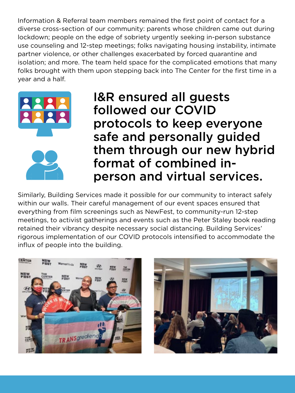Information & Referral team members remained the first point of contact for a diverse cross-section of our community: parents whose children came out during lockdown; people on the edge of sobriety urgently seeking in-person substance use counseling and 12-step meetings; folks navigating housing instability, intimate partner violence, or other challenges exacerbated by forced quarantine and isolation; and more. The team held space for the complicated emotions that many folks brought with them upon stepping back into The Center for the first time in a year and a half.



I&R ensured all guests followed our COVID protocols to keep everyone safe and personally guided them through our new hybrid format of combined inperson and virtual services.

Similarly, Building Services made it possible for our community to interact safely within our walls. Their careful management of our event spaces ensured that everything from film screenings such as NewFest, to community-run 12-step meetings, to activist gatherings and events such as the Peter Staley book reading retained their vibrancy despite necessary social distancing. Building Services' rigorous implementation of our COVID protocols intensified to accommodate the influx of people into the building.



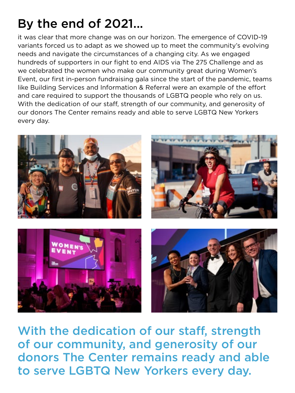### By the end of 2021...

it was clear that more change was on our horizon. The emergence of COVID-19 variants forced us to adapt as we showed up to meet the community's evolving needs and navigate the circumstances of a changing city. As we engaged hundreds of supporters in our fight to end AIDS via The 275 Challenge and as we celebrated the women who make our community great during Women's Event, our first in-person fundraising gala since the start of the pandemic, teams like Building Services and Information & Referral were an example of the effort and care required to support the thousands of LGBTQ people who rely on us. With the dedication of our staff, strength of our community, and generosity of our donors The Center remains ready and able to serve LGBTQ New Yorkers every day.



With the dedication of our staff, strength of our community, and generosity of our donors The Center remains ready and able to serve LGBTQ New Yorkers every day.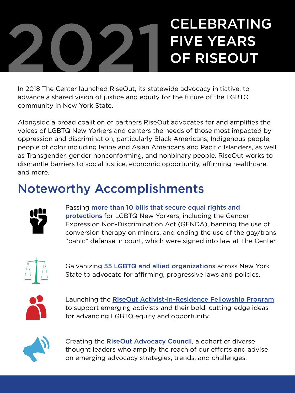# 2021 CELEBRATING<br>OF RISEOUT FIVE YEARS OF RISEOUT

In 2018 The Center launched RiseOut, its statewide advocacy initiative, to advance a shared vision of justice and equity for the future of the LGBTQ community in New York State.

Alongside a broad coalition of partners RiseOut advocates for and amplifies the voices of LGBTQ New Yorkers and centers the needs of those most impacted by oppression and discrimination, particularly Black Americans, Indigenous people, people of color including latine and Asian Americans and Pacific Islanders, as well as Transgender, gender nonconforming, and nonbinary people. RiseOut works to dismantle barriers to social justice, economic opportunity, affirming healthcare, and more.

### Noteworthy Accomplishments



Passing more than 10 bills that secure equal rights and protections for LGBTQ New Yorkers, including the Gender Expression Non-Discrimination Act (GENDA), banning the use of conversion therapy on minors, and ending the use of the gay/trans "panic" defense in court, which were signed into law at The Center.



Galvanizing 55 LGBTQ and allied organizations across New York State to advocate for affirming, progressive laws and policies.



Launching the [RiseOut Activist-in-Residence Fellowship Program](http://gaycenter.org/fellowship) to support emerging activists and their bold, cutting-edge ideas for advancing LGBTQ equity and opportunity.



Creating the [RiseOut Advocacy Council](https://gaycenter.org/advocacy/council/), a cohort of diverse thought leaders who amplify the reach of our efforts and advise on emerging advocacy strategies, trends, and challenges.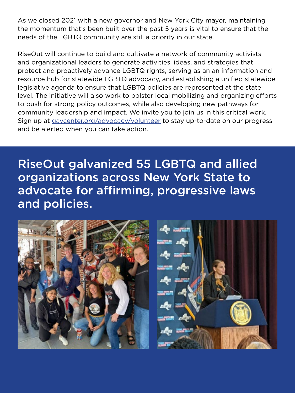As we closed 2021 with a new governor and New York City mayor, maintaining the momentum that's been built over the past 5 years is vital to ensure that the needs of the LGBTQ community are still a priority in our state.

RiseOut will continue to build and cultivate a network of community activists and organizational leaders to generate activities, ideas, and strategies that protect and proactively advance LGBTQ rights, serving as an an information and resource hub for statewide LGBTQ advocacy, and establishing a unified statewide legislative agenda to ensure that LGBTQ policies are represented at the state level. The initiative will also work to bolster local mobilizing and organizing efforts to push for strong policy outcomes, while also developing new pathways for community leadership and impact. We invite you to join us in this critical work. Sign up at [gaycenter.org/advocacy/volunteer](http://gaycenter.org/advocacy/volunteer) to stay up-to-date on our progress and be alerted when you can take action.

RiseOut galvanized 55 LGBTQ and allied organizations across New York State to advocate for affirming, progressive laws and policies.

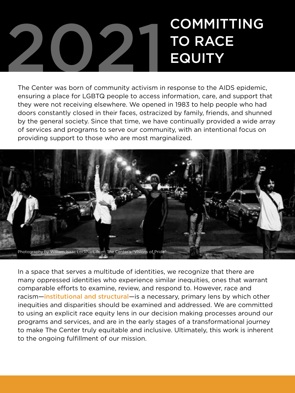## 2021 COMMITTING<br>EQUITY TO RACE **EQUITY**

The Center was born of community activism in response to the AIDS epidemic, ensuring a place for LGBTQ people to access information, care, and support that they were not receiving elsewhere. We opened in 1983 to help people who had doors constantly closed in their faces, ostracized by family, friends, and shunned by the general society. Since that time, we have continually provided a wide array of services and programs to serve our community, with an intentional focus on providing support to those who are most marginalized.



In a space that serves a multitude of identities, we recognize that there are many oppressed identities who experience similar inequities, ones that warrant comparable efforts to examine, review, and respond to. However, race and racism—institutional and structural—is a necessary, primary lens by which other inequities and disparities should be examined and addressed. We are committed to using an explicit race equity lens in our decision making processes around our programs and services, and are in the early stages of a transformational journey to make The Center truly equitable and inclusive. Ultimately, this work is inherent to the ongoing fulfillment of our mission.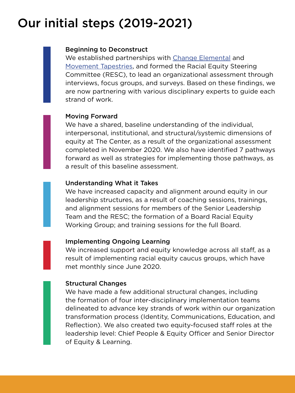### Our initial steps (2019-2021)

### Beginning to Deconstruct

We established partnerships with [Change Elemental](http://changeelemental.org/) and [Movement Tapestries,](https://movementtapestries.com/) and formed the Racial Equity Steering Committee (RESC), to lead an organizational assessment through interviews, focus groups, and surveys. Based on these findings, we are now partnering with various disciplinary experts to guide each strand of work.

### Moving Forward

We have a shared, baseline understanding of the individual, interpersonal, institutional, and structural/systemic dimensions of equity at The Center, as a result of the organizational assessment completed in November 2020. We also have identified 7 pathways forward as well as strategies for implementing those pathways, as a result of this baseline assessment.

### Understanding What it Takes

We have increased capacity and alignment around equity in our leadership structures, as a result of coaching sessions, trainings, and alignment sessions for members of the Senior Leadership Team and the RESC; the formation of a Board Racial Equity Working Group; and training sessions for the full Board.

### Implementing Ongoing Learning

We increased support and equity knowledge across all staff, as a result of implementing racial equity caucus groups, which have met monthly since June 2020.

### Structural Changes

We have made a few additional structural changes, including the formation of four inter-disciplinary implementation teams delineated to advance key strands of work within our organization transformation process (Identity, Communications, Education, and Reflection). We also created two equity-focused staff roles at the leadership level: Chief People & Equity Officer and Senior Director of Equity & Learning.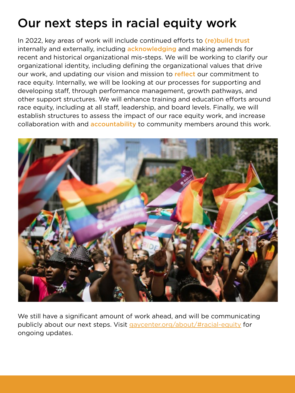### Our next steps in racial equity work

In 2022, key areas of work will include continued efforts to (re) build trust internally and externally, including **acknowledging** and making amends for recent and historical organizational mis-steps. We will be working to clarify our organizational identity, including defining the organizational values that drive our work, and updating our vision and mission to reflect our commitment to race equity. Internally, we will be looking at our processes for supporting and developing staff, through performance management, growth pathways, and other support structures. We will enhance training and education efforts around race equity, including at all staff, leadership, and board levels. Finally, we will establish structures to assess the impact of our race equity work, and increase collaboration with and **accountability** to community members around this work.



We still have a significant amount of work ahead, and will be communicating publicly about our next steps. Visit [gaycenter.org/about/#racial-equity](http://gaycenter.org/about/#racial-equity) for ongoing updates.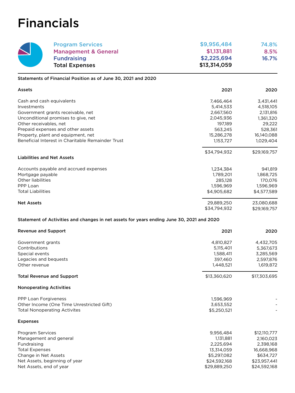### Financials

| <b>Program Services</b>         | \$9,956,484  | 74.8% |
|---------------------------------|--------------|-------|
| <b>Management &amp; General</b> | \$1,131,881  | 8.5%  |
| <b>Fundraising</b>              | \$2,225,694  | 16.7% |
| <b>Total Expenses</b>           | \$13,314,059 |       |

Statements of Financial Position as of June 30, 2021 and 2020

| Assets                                                                                    | 2021         | 2020         |
|-------------------------------------------------------------------------------------------|--------------|--------------|
| Cash and cash equivalents                                                                 | 7,466,464    | 3,431,441    |
| Investments                                                                               | 5,414,533    | 4,518,105    |
| Government grants receivable, net                                                         | 2,667,560    | 2,131,816    |
| Unconditional promises to give, net                                                       | 2,045,936    | 1,361,320    |
| Other receivables, net                                                                    | 197,189      | 29,222       |
| Prepaid expenses and other assets                                                         | 563,245      | 528,361      |
| Property, plant and equipment, net                                                        | 15,286,278   | 16,140,088   |
| Beneficial Interest in Charitable Remainder Trust                                         | 1,153,727    | 1,029,404    |
| <b>Liabilities and Net Assets</b>                                                         | \$34,794,932 | \$29,169,757 |
|                                                                                           |              |              |
| Accounts payable and accrued expenses                                                     | 1,234,384    | 941,819      |
| Mortgage payable                                                                          | 1,789,201    | 1,868,725    |
| Other liabilities                                                                         | 285,128      | 170,076      |
| PPP Loan                                                                                  | 1,596,969    | 1,596,969    |
| <b>Total Liabilities</b>                                                                  | \$4,905,682  | \$4,577,589  |
| <b>Net Assets</b>                                                                         | 29,889,250   | 23,080,688   |
|                                                                                           | \$34,794,932 | \$29,169,757 |
| Statement of Activities and changes in net assets for years ending June 30, 2021 and 2020 |              |              |
| <b>Revenue and Support</b>                                                                | 2021         | 2020         |
| Government grants                                                                         | 4,810,827    | 4,432,705    |
| Contributions                                                                             | 5,115,401    | 5,367,673    |
| Special events                                                                            | 1,588,411    | 3,285,569    |
| Legacies and bequests                                                                     | 397,460      | 2,597,876    |
| Other revenue                                                                             | 1,448,521    | 1,619,872    |
| <b>Total Revenue and Support</b>                                                          | \$13,360,620 | \$17,303,695 |
| <b>Nonoperating Activities</b>                                                            |              |              |
| PPP Loan Forgiveness                                                                      | 1,596,969    |              |
| Other Income (One Time Unrestricted Gift)                                                 | 3,653,552    |              |
| <b>Total Nonoperating Activites</b>                                                       | \$5,250,521  |              |
| <b>Expenses</b>                                                                           |              |              |
| Program Services                                                                          | 9,956,484    | \$12,110,777 |
| Management and general                                                                    | 1,131,881    | 2,160,023    |
| Fundraising                                                                               | 2,225,694    | 2,398,168    |
| <b>Total Expenses</b>                                                                     | 13,314,059   | 16,668,968   |
| Change in Net Assets                                                                      | \$5,297,082  | \$634,727    |
| Net Assets, beginning of year                                                             | \$24,592,168 | \$23,957,441 |
| Net Assets, end of year                                                                   | \$29,889,250 | \$24,592,168 |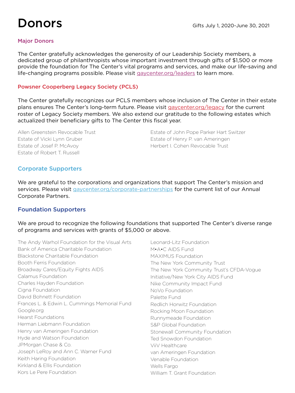### Donors

#### Major Donors

The Center gratefully acknowledges the generosity of our Leadership Society members, a dedicated group of philanthropists whose important investment through gifts of \$1,500 or more provide the foundation for The Center's vital programs and services, and make our life-saving and life-changing programs possible. Please visit [gaycenter.org/leaders](http://gaycenter.org/leaders) to learn more.

#### Powsner Cooperberg Legacy Society (PCLS)

The Center gratefully recognizes our PCLS members whose inclusion of The Center in their estate plans ensures The Center's long-term future. Please visit [gaycenter.org/legacy](http://gaycenter.org/legacy) for the current roster of Legacy Society members. We also extend our gratitude to the following estates which actualized their beneficiary gifts to The Center this fiscal year.

Allen Greenstein Revocable Trust Estate of Vicki Lynn Gruber Estate of Josef P. McAvoy Estate of Robert T. Russell

Estate of John Pope Parker Hart Switzer Estate of Henry P. van Ameringen Herbert I. Cohen Revocable Trust

#### Corporate Supporters

We are grateful to the corporations and organizations that support The Center's mission and services. Please visit [gaycenter.org/corporate-partnerships](http://gaycenter.org/corporate-partnerships) for the current list of our Annual Corporate Partners.

### Foundation Supporters

We are proud to recognize the following foundations that supported The Center's diverse range of programs and services with grants of \$5,000 or above.

The Andy Warhol Foundation for the Visual Arts Bank of America Charitable Foundation Blackstone Charitable Foundation Booth Ferris Foundation Broadway Cares/Equity Fights AIDS Calamus Foundation Charles Hayden Foundation Cigna Foundation David Bohnett Foundation Frances L. & Edwin L. Cummings Memorial Fund Google.org Hearst Foundations Herman Liebmann Foundation Henry van Ameringen Foundation Hyde and Watson Foundation JPMorgan Chase & Co. Joseph LeRoy and Ann C. Warner Fund Keith Haring Foundation Kirkland & Ellis Foundation Kors Le Pere Foundation

Leonard-Litz Foundation M•A•C AIDS Fund MAXIMUS Foundation The New York Community Trust The New York Community Trust's CFDA-Vogue Initiative/New York City AIDS Fund Nike Community Impact Fund NoVo Foundation Palette Fund Redlich Horwitz Foundation Rocking Moon Foundation Runnymeade Foundation S&P Global Foundation Stonewall Community Foundation Ted Snowdon Foundation ViiV Healthcare van Ameringen Foundation Venable Foundation Wells Fargo William T. Grant Foundation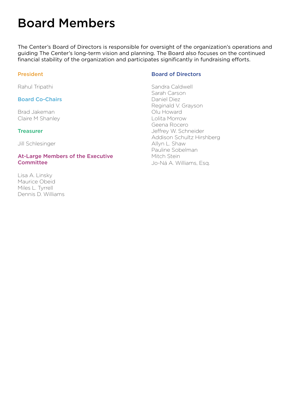### Board Members

The Center's Board of Directors is responsible for oversight of the organization's operations and guiding The Center's long-term vision and planning. The Board also focuses on the continued financial stability of the organization and participates significantly in fundraising efforts.

#### President

Rahul Tripathi

#### Board Co-Chairs

Brad Jakeman Claire M Shanley

#### **Treasurer**

Jill Schlesinger

#### At-Large Members of the Executive **Committee**

Lisa A. Linsky Maurice Obeid Miles L. Tyrrell Dennis D. Williams

#### Board of Directors

Sandra Caldwell Sarah Carson Daniel Diez Reginald V. Grayson Olu Howard Lolita Morrow Geena Rocero Jeffrey W. Schneider Addison Schultz Hirshberg Allyn L. Shaw Pauline Sobelman Mitch Stein Jo-Ná A. Williams, Esq.